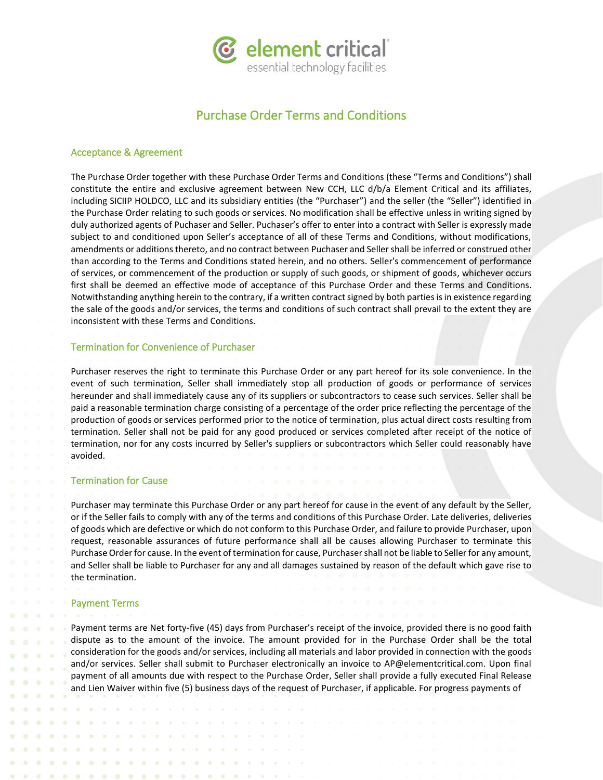

# Purchase Order Terms and Conditions

### Acceptance & Agreement

The Purchase Order together with these Purchase Order Terms and Conditions (these "Terms and Conditions") shall constitute the entire and exclusive agreement between New CCH, LLC d/b/a Element Critical and its affiliates, including SICIIP HOLDCO, LLC and its subsidiary entities (the "Purchaser") and the seller (the "Seller") identified in the Purchase Order relating to such goods or services. No modification shall be effective unless in writing signed by duly authorized agents of Puchaser and Seller. Puchaser's offer to enter into a contract with Seller is expressly made subject to and conditioned upon Seller's acceptance of all of these Terms and Conditions, without modifications, amendments or additions thereto, and no contract between Puchaser and Seller shall be inferred or construed other than according to the Terms and Conditions stated herein, and no others. Seller's commencement of performance of services, or commencement of the production or supply of such goods, or shipment of goods, whichever occurs first shall be deemed an effective mode of acceptance of this Purchase Order and these Terms and Conditions. Notwithstanding anything herein to the contrary, if a written contract signed by both parties is in existence regarding the sale of the goods and/or services, the terms and conditions of such contract shall prevail to the extent they are inconsistent with these Terms and Conditions.

# Termination for Convenience of Purchaser

Purchaser reserves the right to terminate this Purchase Order or any part hereof for its sole convenience. In the event of such termination, Seller shall immediately stop all production of goods or performance of services hereunder and shall immediately cause any of its suppliers or subcontractors to cease such services. Seller shall be paid a reasonable termination charge consisting of a percentage of the order price reflecting the percentage of the production of goods or services performed prior to the notice of termination, plus actual direct costs resulting from termination. Seller shall not be paid for any good produced or services completed after receipt of the notice of termination, nor for any costs incurred by Seller's suppliers or subcontractors which Seller could reasonably have avoided.

# Termination for Cause

Purchaser may terminate this Purchase Order or any part hereof for cause in the event of any default by the Seller, or if the Seller fails to comply with any of the terms and conditions of this Purchase Order. Late deliveries, deliveries of goods which are defective or which do not conform to this Purchase Order, and failure to provide Purchaser, upon request, reasonable assurances of future performance shall all be causes allowing Purchaser to terminate this Purchase Order for cause. In the event of termination for cause, Purchaser shall not be liable to Seller for any amount, and Seller shall be liable to Purchaser for any and all damages sustained by reason of the default which gave rise to the termination.

#### Payment Terms

Payment terms are Net forty-five (45) days from Purchaser's receipt of the invoice, provided there is no good faith dispute as to the amount of the invoice. The amount provided for in the Purchase Order shall be the total consideration for the goods and/or services, including all materials and labor provided in connection with the goods and/or services. Seller shall submit to Purchaser electronically an invoice to AP@elementcritical.com. Upon final payment of all amounts due with respect to the Purchase Order, Seller shall provide a fully executed Final Release and Lien Waiver within five (5) business days of the request of Purchaser, if applicable. For progress payments of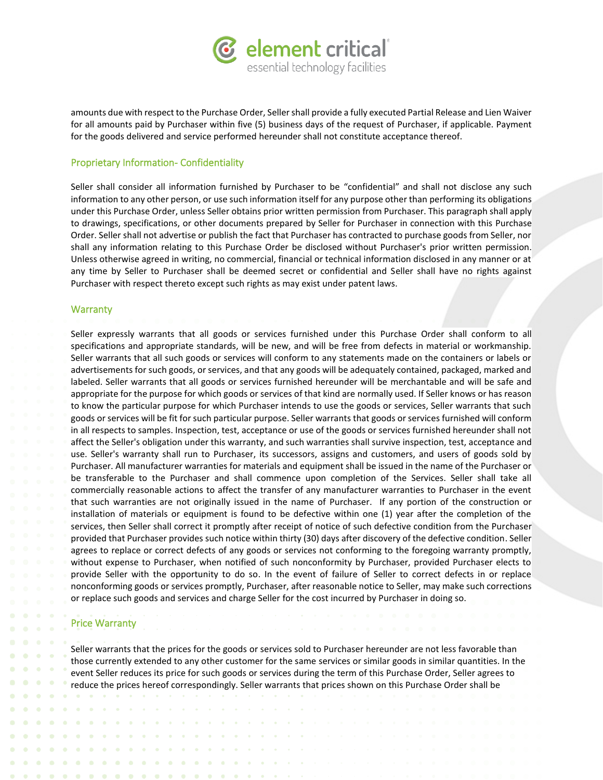

amounts due with respect to the Purchase Order, Sellershall provide a fully executed Partial Release and Lien Waiver for all amounts paid by Purchaser within five (5) business days of the request of Purchaser, if applicable. Payment for the goods delivered and service performed hereunder shall not constitute acceptance thereof.

# Proprietary Information- Confidentiality

Seller shall consider all information furnished by Purchaser to be "confidential" and shall not disclose any such information to any other person, or use such information itself for any purpose other than performing its obligations under this Purchase Order, unless Seller obtains prior written permission from Purchaser. This paragraph shall apply to drawings, specifications, or other documents prepared by Seller for Purchaser in connection with this Purchase Order. Seller shall not advertise or publish the fact that Purchaser has contracted to purchase goods from Seller, nor shall any information relating to this Purchase Order be disclosed without Purchaser's prior written permission. Unless otherwise agreed in writing, no commercial, financial or technical information disclosed in any manner or at any time by Seller to Purchaser shall be deemed secret or confidential and Seller shall have no rights against Purchaser with respect thereto except such rights as may exist under patent laws.

## **Warranty**

Seller expressly warrants that all goods or services furnished under this Purchase Order shall conform to all specifications and appropriate standards, will be new, and will be free from defects in material or workmanship. Seller warrants that all such goods or services will conform to any statements made on the containers or labels or advertisements for such goods, or services, and that any goods will be adequately contained, packaged, marked and labeled. Seller warrants that all goods or services furnished hereunder will be merchantable and will be safe and appropriate for the purpose for which goods or services of that kind are normally used. If Seller knows or has reason to know the particular purpose for which Purchaser intends to use the goods or services, Seller warrants that such goods or services will be fit for such particular purpose. Seller warrants that goods or services furnished will conform in all respects to samples. Inspection, test, acceptance or use of the goods or services furnished hereunder shall not affect the Seller's obligation under this warranty, and such warranties shall survive inspection, test, acceptance and use. Seller's warranty shall run to Purchaser, its successors, assigns and customers, and users of goods sold by Purchaser. All manufacturer warranties for materials and equipment shall be issued in the name of the Purchaser or be transferable to the Purchaser and shall commence upon completion of the Services. Seller shall take all commercially reasonable actions to affect the transfer of any manufacturer warranties to Purchaser in the event that such warranties are not originally issued in the name of Purchaser. If any portion of the construction or installation of materials or equipment is found to be defective within one (1) year after the completion of the services, then Seller shall correct it promptly after receipt of notice of such defective condition from the Purchaser provided that Purchaser provides such notice within thirty (30) days after discovery of the defective condition. Seller agrees to replace or correct defects of any goods or services not conforming to the foregoing warranty promptly, without expense to Purchaser, when notified of such nonconformity by Purchaser, provided Purchaser elects to provide Seller with the opportunity to do so. In the event of failure of Seller to correct defects in or replace nonconforming goods or services promptly, Purchaser, after reasonable notice to Seller, may make such corrections or replace such goods and services and charge Seller for the cost incurred by Purchaser in doing so.

# Price Warranty

 $\bullet$ 

 $\bullet$ 

 $\bullet$ 

 $\bullet$ 

Seller warrants that the prices for the goods or services sold to Purchaser hereunder are not less favorable than those currently extended to any other customer for the same services or similar goods in similar quantities. In the event Seller reduces its price for such goods or services during the term of this Purchase Order, Seller agrees to reduce the prices hereof correspondingly. Seller warrants that prices shown on this Purchase Order shall be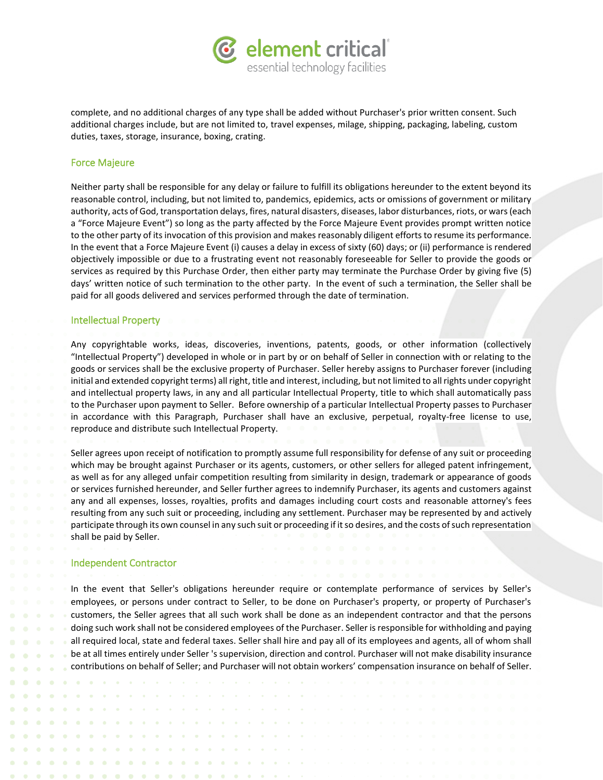

complete, and no additional charges of any type shall be added without Purchaser's prior written consent. Such additional charges include, but are not limited to, travel expenses, milage, shipping, packaging, labeling, custom duties, taxes, storage, insurance, boxing, crating.

### Force Majeure

Neither party shall be responsible for any delay or failure to fulfill its obligations hereunder to the extent beyond its reasonable control, including, but not limited to, pandemics, epidemics, acts or omissions of government or military authority, acts of God, transportation delays, fires, natural disasters, diseases, labor disturbances, riots, or wars (each a "Force Majeure Event") so long as the party affected by the Force Majeure Event provides prompt written notice to the other party of its invocation of this provision and makes reasonably diligent efforts to resume its performance. In the event that a Force Majeure Event (i) causes a delay in excess of sixty (60) days; or (ii) performance is rendered objectively impossible or due to a frustrating event not reasonably foreseeable for Seller to provide the goods or services as required by this Purchase Order, then either party may terminate the Purchase Order by giving five (5) days' written notice of such termination to the other party. In the event of such a termination, the Seller shall be paid for all goods delivered and services performed through the date of termination.

# Intellectual Property

Any copyrightable works, ideas, discoveries, inventions, patents, goods, or other information (collectively "Intellectual Property") developed in whole or in part by or on behalf of Seller in connection with or relating to the goods or services shall be the exclusive property of Purchaser. Seller hereby assigns to Purchaser forever (including initial and extended copyright terms) all right, title and interest, including, but not limited to all rights under copyright and intellectual property laws, in any and all particular Intellectual Property, title to which shall automatically pass to the Purchaser upon payment to Seller. Before ownership of a particular Intellectual Property passes to Purchaser in accordance with this Paragraph, Purchaser shall have an exclusive, perpetual, royalty-free license to use, reproduce and distribute such Intellectual Property.

Seller agrees upon receipt of notification to promptly assume full responsibility for defense of any suit or proceeding which may be brought against Purchaser or its agents, customers, or other sellers for alleged patent infringement, as well as for any alleged unfair competition resulting from similarity in design, trademark or appearance of goods or services furnished hereunder, and Seller further agrees to indemnify Purchaser, its agents and customers against any and all expenses, losses, royalties, profits and damages including court costs and reasonable attorney's fees resulting from any such suit or proceeding, including any settlement. Purchaser may be represented by and actively participate through its own counsel in any such suit or proceeding if it so desires, and the costs of such representation shall be paid by Seller.

### Independent Contractor

 $\begin{array}{ccccccccccccc} \bullet & \bullet & \bullet & \bullet \end{array}$ 

 $\alpha = \alpha$  .

 $\sim$ **Contract** 

 $\bullet$  $\sim$ 

In the event that Seller's obligations hereunder require or contemplate performance of services by Seller's employees, or persons under contract to Seller, to be done on Purchaser's property, or property of Purchaser's customers, the Seller agrees that all such work shall be done as an independent contractor and that the persons doing such work shall not be considered employees of the Purchaser. Seller is responsible for withholding and paying all required local, state and federal taxes. Seller shall hire and pay all of its employees and agents, all of whom shall be at all times entirely under Seller 's supervision, direction and control. Purchaser will not make disability insurance contributions on behalf of Seller; and Purchaser will not obtain workers' compensation insurance on behalf of Seller.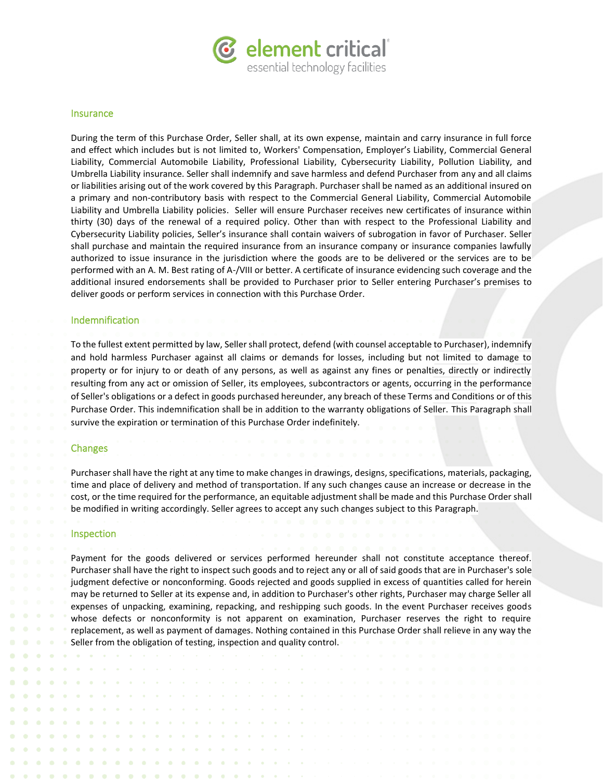

### Insurance

During the term of this Purchase Order, Seller shall, at its own expense, maintain and carry insurance in full force and effect which includes but is not limited to, Workers' Compensation, Employer's Liability, Commercial General Liability, Commercial Automobile Liability, Professional Liability, Cybersecurity Liability, Pollution Liability, and Umbrella Liability insurance. Seller shall indemnify and save harmless and defend Purchaser from any and all claims or liabilities arising out of the work covered by this Paragraph. Purchaser shall be named as an additional insured on a primary and non-contributory basis with respect to the Commercial General Liability, Commercial Automobile Liability and Umbrella Liability policies. Seller will ensure Purchaser receives new certificates of insurance within thirty (30) days of the renewal of a required policy. Other than with respect to the Professional Liability and Cybersecurity Liability policies, Seller's insurance shall contain waivers of subrogation in favor of Purchaser. Seller shall purchase and maintain the required insurance from an insurance company or insurance companies lawfully authorized to issue insurance in the jurisdiction where the goods are to be delivered or the services are to be performed with an A. M. Best rating of A-/VIII or better. A certificate of insurance evidencing such coverage and the additional insured endorsements shall be provided to Purchaser prior to Seller entering Purchaser's premises to deliver goods or perform services in connection with this Purchase Order.

# Indemnification

To the fullest extent permitted by law, Seller shall protect, defend (with counsel acceptable to Purchaser), indemnify and hold harmless Purchaser against all claims or demands for losses, including but not limited to damage to property or for injury to or death of any persons, as well as against any fines or penalties, directly or indirectly resulting from any act or omission of Seller, its employees, subcontractors or agents, occurring in the performance of Seller's obligations or a defect in goods purchased hereunder, any breach of these Terms and Conditions or of this Purchase Order. This indemnification shall be in addition to the warranty obligations of Seller. This Paragraph shall survive the expiration or termination of this Purchase Order indefinitely.

### Changes

Purchaser shall have the right at any time to make changes in drawings, designs, specifications, materials, packaging, time and place of delivery and method of transportation. If any such changes cause an increase or decrease in the cost, or the time required for the performance, an equitable adjustment shall be made and this Purchase Order shall be modified in writing accordingly. Seller agrees to accept any such changes subject to this Paragraph.

#### **Inspection**

Payment for the goods delivered or services performed hereunder shall not constitute acceptance thereof. Purchaser shall have the right to inspect such goods and to reject any or all of said goods that are in Purchaser's sole judgment defective or nonconforming. Goods rejected and goods supplied in excess of quantities called for herein may be returned to Seller at its expense and, in addition to Purchaser's other rights, Purchaser may charge Seller all expenses of unpacking, examining, repacking, and reshipping such goods. In the event Purchaser receives goods whose defects or nonconformity is not apparent on examination, Purchaser reserves the right to require replacement, as well as payment of damages. Nothing contained in this Purchase Order shall relieve in any way the Seller from the obligation of testing, inspection and quality control.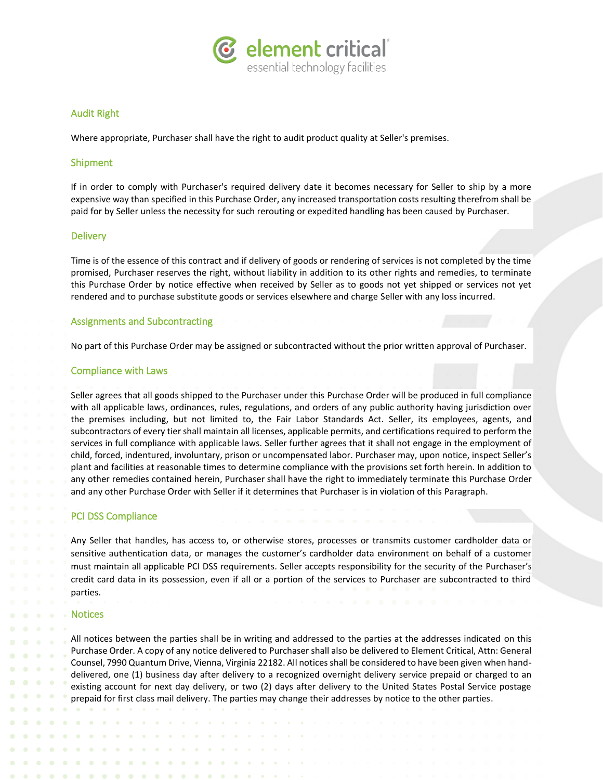

# Audit Right

Where appropriate, Purchaser shall have the right to audit product quality at Seller's premises.

# Shipment

If in order to comply with Purchaser's required delivery date it becomes necessary for Seller to ship by a more expensive way than specified in this Purchase Order, any increased transportation costs resulting therefrom shall be paid for by Seller unless the necessity for such rerouting or expedited handling has been caused by Purchaser.

# **Delivery**

Time is of the essence of this contract and if delivery of goods or rendering of services is not completed by the time promised, Purchaser reserves the right, without liability in addition to its other rights and remedies, to terminate this Purchase Order by notice effective when received by Seller as to goods not yet shipped or services not yet rendered and to purchase substitute goods or services elsewhere and charge Seller with any loss incurred.

# Assignments and Subcontracting

No part of this Purchase Order may be assigned or subcontracted without the prior written approval of Purchaser.

## Compliance with Laws

Seller agrees that all goods shipped to the Purchaser under this Purchase Order will be produced in full compliance with all applicable laws, ordinances, rules, regulations, and orders of any public authority having jurisdiction over the premises including, but not limited to, the Fair Labor Standards Act. Seller, its employees, agents, and subcontractors of every tier shall maintain all licenses, applicable permits, and certifications required to perform the services in full compliance with applicable laws. Seller further agrees that it shall not engage in the employment of child, forced, indentured, involuntary, prison or uncompensated labor. Purchaser may, upon notice, inspect Seller's plant and facilities at reasonable times to determine compliance with the provisions set forth herein. In addition to any other remedies contained herein, Purchaser shall have the right to immediately terminate this Purchase Order and any other Purchase Order with Seller if it determines that Purchaser is in violation of this Paragraph.

# PCI DSS Compliance

Any Seller that handles, has access to, or otherwise stores, processes or transmits customer cardholder data or sensitive authentication data, or manages the customer's cardholder data environment on behalf of a customer must maintain all applicable PCI DSS requirements. Seller accepts responsibility for the security of the Purchaser's credit card data in its possession, even if all or a portion of the services to Purchaser are subcontracted to third parties.

## **Notices**

All notices between the parties shall be in writing and addressed to the parties at the addresses indicated on this Purchase Order. A copy of any notice delivered to Purchaser shall also be delivered to Element Critical, Attn: General Counsel, 7990 Quantum Drive, Vienna, Virginia 22182. All notices shall be considered to have been given when handdelivered, one (1) business day after delivery to a recognized overnight delivery service prepaid or charged to an existing account for next day delivery, or two (2) days after delivery to the United States Postal Service postage prepaid for first class mail delivery. The parties may change their addresses by notice to the other parties.